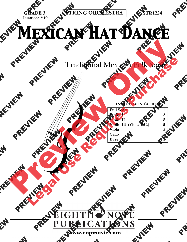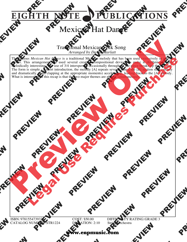

## Mexican Hat Dance

*Arranged by David Marlatt* Traditional Mexican Folk Song



ISBN: 9781554739325 CATALOG NUMBER: STR1224 COST: \$50.00 DURATION: 2:10

DIFFICULTY RATING:GRADE 3 String Orchestra PUTCH PREVIEW PREVIEW PREVIEW PREVIEW PREVIEW PREVIEW PREVIEW PREVIEW PREVIEW PREVIEW PREVIEW PREVIEW PREVIEW PREVIEW PREVIEW PREVIEW PREVIEW PREVIEW PREVIEW PREVIEW PREVIEW PREVIEW PREVIEW PREVIEW PREVIEW PREVIEW PREVIEW PREVIEW PREVIEW PREVIEW PREVIEW PREVIEW PREVIEW PREVIEW PREVIEW PREVIEW PREVIEW PREVIEW PREVIEW PREVIEW PREVIEW PREVIEW PREVIEW PREVIEW PREVIEW PREVIEW PREVIEW PREVIEW PREVIEW PREVIEW PREVIEW PREVIEW PREVIEW PREVIEW PREVIE PREVIEW PREVIEW PREVIEW PREVIEW PREVIEW PREVIEW PREVIEW PREVIEW PREVIEW PREVIEW PREVIEW PREVIEW PREVIEW PREVIEW PREVIEW PREVIEW PREVIEW PREVIEW PREVIEW PREVIEW PREVIEW PREVIEW PREVIEW PREVIEW PREVIEW PREVIEW PREVIEW PREVIE

## **www.enpmusic.com**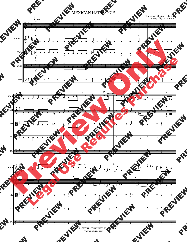## MEXICAN HAT DANCE



© 2012 **EIGHTH NOTE PUBLICATIONS** www.enpmusic.com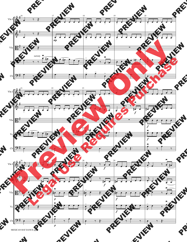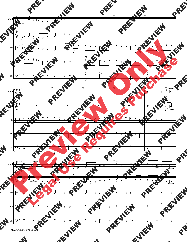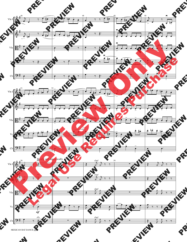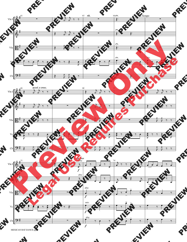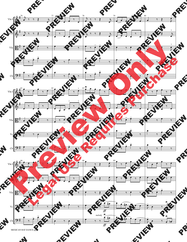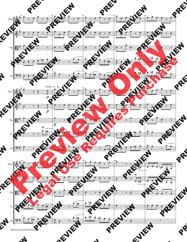